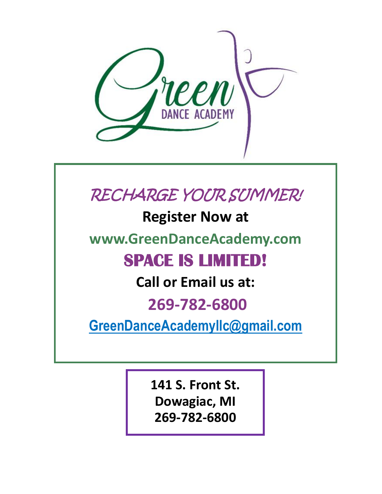

## RECHARGE YOUR SUMMER!

**Register Now at** 

**www.GreenDanceAcademy.com**

## **SPACE IS LIMITED!**

**Call or Email us at:**

## **269-782-6800**

**GreenDanceAcademyllc@gmail.com**

**141 S. Front St. Dowagiac, MI 269-782-6800**